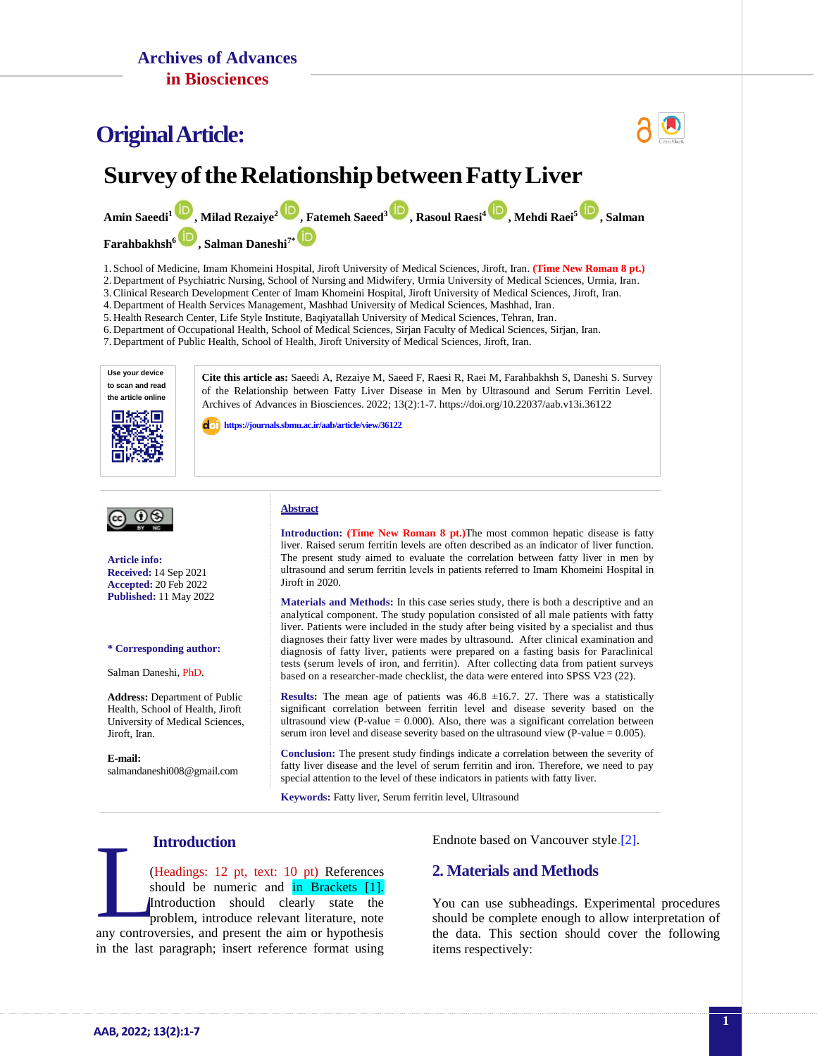## **OriginalArticle:**



# **SurveyoftheRelationshipbetweenFattyLiver**

**Amin Saeedi[1](http://orcid.org/0000-0002-5853-9063) , Milad Rezaiye<sup>2</sup> , Fatemeh Saeed<sup>3</sup> , Rasoul Raesi<sup>4</sup> , Mehdi Raei<sup>5</sup> [,](https://orcid.org/0000-0002-5899-4744) Salman** 

**Farahbakhsh<sup>6</sup> [,](https://orcid.org/0000-0001-5365-7207) Salman Daneshi7[\\*](https://orcid.org/0000-0002-9199-0382)**

1. School of Medicine, Imam Khomeini Hospital, Jiroft University of Medical Sciences, Jiroft, Iran. **(Time New Roman 8 pt.)**

2. Department of Psychiatric Nursing, School of Nursing and Midwifery, Urmia University of Medical Sciences, Urmia, Iran.

3.Clinical Research Development Center of Imam Khomeini Hospital, Jiroft University of Medical Sciences, Jiroft, Iran.

4. Department of Health Services Management, Mashhad University of Medical Sciences, Mashhad, Iran. 5. Health Research Center, Life Style Institute, Baqiyatallah University of Medical Sciences, Tehran, Iran.

6. Department of Occupational Health, School of Medical Sciences, Sirjan Faculty of Medical Sciences, Sirjan, Iran.

7. Department of Public Health, School of Health, Jiroft University of Medical Sciences, Jiroft, Iran.

**Use your device to scan and read the article online**



**Cite this article as:** Saeedi A, Rezaiye M, Saeed F, Raesi R, Raei M, Farahbakhsh S, Daneshi S. Survey of the Relationship between Fatty Liver Disease in Men by Ultrasound and Serum Ferritin Level. Archives of Advances in Biosciences. 2022; 13(2):1-7. https://doi.org/10.22037/aab.v13i.36122

**<https://journals.sbmu.ac.ir/aab/article/view/36122>**



**Article info: Received:** 14 Sep 2021 **Accepted:** 20 Feb 2022 **Published:** 11 May 2022

#### **\* Corresponding author:**

Salman Daneshi, PhD.

**Address:** Department of Public Health, School of Health, Jiroft University of Medical Sciences, Jiroft, Iran.

**E-mail:**  [salmandaneshi008@gmail.com](mailto:salmandaneshi008@gmail.com)

#### **Abstract**

**Introduction: (Time New Roman 8 pt.)**The most common hepatic disease is fatty liver. Raised serum ferritin levels are often described as an indicator of liver function. The present study aimed to evaluate the correlation between fatty liver in men by ultrasound and serum ferritin levels in patients referred to Imam Khomeini Hospital in Jiroft in 2020.

**Materials and Methods:** In this case series study, there is both a descriptive and an analytical component. The study population consisted of all male patients with fatty liver. Patients were included in the study after being visited by a specialist and thus diagnoses their fatty liver were mades by ultrasound. After clinical examination and diagnosis of fatty liver, patients were prepared on a fasting basis for Paraclinical tests (serum levels of iron, nad ferritin). After collecting data from patient surveys based on a researcher-made checklist, the data were entered into SPSS V23 (22).

**Results:** The mean age of patients was  $46.8 \pm 16.7$ . 27. There was a statistically significant correlation between ferritin level and disease severity based on the ultrasound view (P-value  $= 0.000$ ). Also, there was a significant correlation between serum iron level and disease severity based on the ultrasound view (P-value = 0.005).

**Conclusion:** The present study findings indicate a correlation between the severity of fatty liver disease and the level of serum ferritin and iron. Therefore, we need to pay special attention to the level of these indicators in patients with fatty liver.

**Keywords:** Fatty liver, Serum ferritin level, Ultrasound

#### **Introduction**

(Headings: 12 pt, text: 10 pt) References should be numeric and in Brackets [1]. Introduction should clearly state the problem, introduce relevant literature, note **Example 19 and 10 and 10 and 10 and 10 and 10 and 10 and 10 and 10 and 10 and 11 and 11 and 11 and 11 and 11 and 12 and 12 and 12 and 12 and 12 and 12 and 12 and 12 and 12 and 12 and 12 and 12 and 12 and 12 and 12 and 12** in the last paragraph; insert reference format using

Endnote based on Vancouver style[.\[2\].](#page-2-0)

#### **2. Materials and Methods**

You can use subheadings. Experimental procedures should be complete enough to allow interpretation of the data. This section should cover the following items respectively: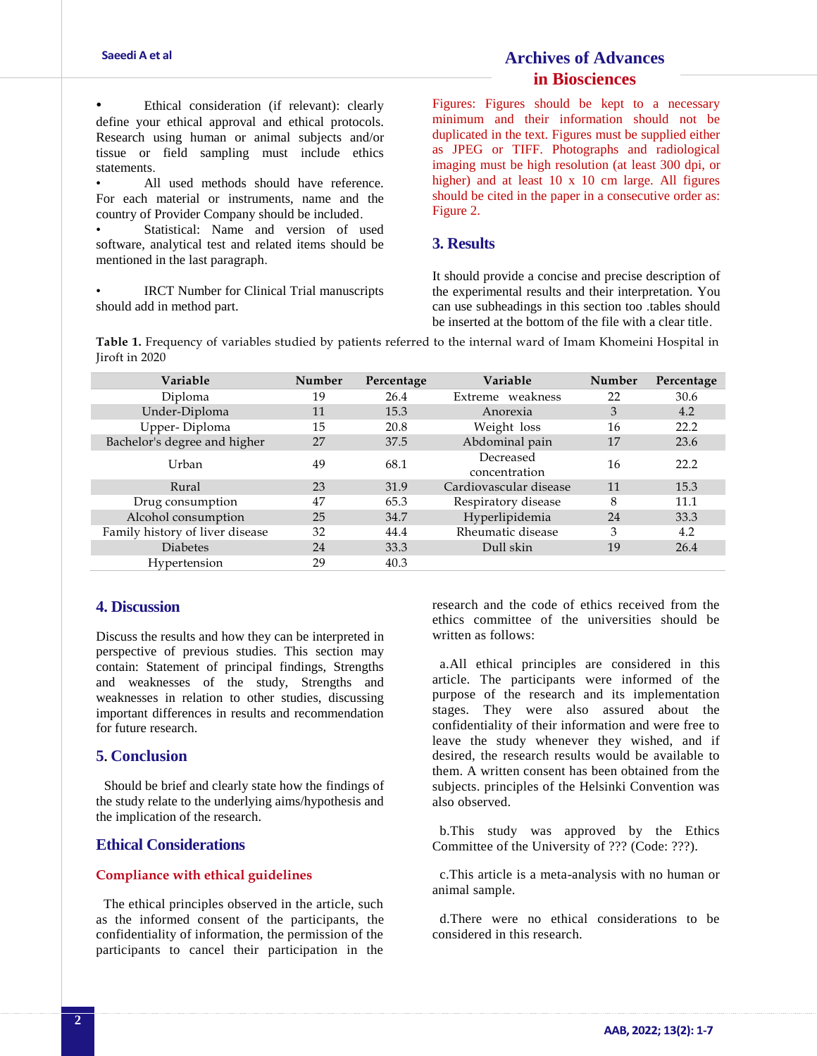Ethical consideration (if relevant): clearly define your ethical approval and ethical protocols. Research using human or animal subjects and/or tissue or field sampling must include ethics statements.

All used methods should have reference. For each material or instruments, name and the country of Provider Company should be included.

Statistical: Name and version of used software, analytical test and related items should be mentioned in the last paragraph.

• IRCT Number for Clinical Trial manuscripts should add in method part.

## **Archives of Advances in Biosciences**

Figures: Figures should be kept to a necessary minimum and their information should not be duplicated in the text. Figures must be supplied either as JPEG or TIFF. Photographs and radiological imaging must be high resolution (at least 300 dpi, or higher) and at least 10 x 10 cm large. All figures should be cited in the paper in a consecutive order as: Figure 2.

### **3. Results**

It should provide a concise and precise description of the experimental results and their interpretation. You can use subheadings in this section too .tables should be inserted at the bottom of the file with a clear title.

**Table 1.** Frequency of variables studied by patients referred to the internal ward of Imam Khomeini Hospital in Jiroft in 2020

| <b>Variable</b>                 | Number | Percentage | <b>Variable</b>            | Number | Percentage |
|---------------------------------|--------|------------|----------------------------|--------|------------|
| Diploma                         | 19     | 26.4       | Extreme weakness           | 22     | 30.6       |
| Under-Diploma                   | 11     | 15.3       | Anorexia                   | 3      | 4.2        |
| Upper-Diploma                   | 15     | 20.8       | Weight loss                | 16     | 22.2       |
| Bachelor's degree and higher    | 27     | 37.5       | Abdominal pain             | 17     | 23.6       |
| Urban                           | 49     | 68.1       | Decreased<br>concentration | 16     | 22.2       |
| Rural                           | 23     | 31.9       | Cardiovascular disease     | 11     | 15.3       |
| Drug consumption                | 47     | 65.3       | Respiratory disease        | 8      | 11.1       |
| Alcohol consumption             | 25     | 34.7       | Hyperlipidemia             | 24     | 33.3       |
| Family history of liver disease | 32     | 44.4       | Rheumatic disease          | 3      | 4.2        |
| <b>Diabetes</b>                 | 24     | 33.3       | Dull skin                  | 19     | 26.4       |
| Hypertension                    | 29     | 40.3       |                            |        |            |

#### **4. Discussion**

Discuss the results and how they can be interpreted in perspective of previous studies. This section may contain: Statement of principal findings, Strengths and weaknesses of the study, Strengths and weaknesses in relation to other studies, discussing important differences in results and recommendation for future research.

### **5. Conclusion**

 Should be brief and clearly state how the findings of the study relate to the underlying aims/hypothesis and the implication of the research.

#### **Ethical Considerations**

#### **Compliance with ethical guidelines**

The ethical principles observed in the article, such as the informed consent of the participants, the confidentiality of information, the permission of the participants to cancel their participation in the

research and the code of ethics received from the ethics committee of the universities should be written as follows:

a.All ethical principles are considered in this article. The participants were informed of the purpose of the research and its implementation stages. They were also assured about the confidentiality of their information and were free to leave the study whenever they wished, and if desired, the research results would be available to them. A written consent has been obtained from the subjects. principles of the Helsinki Convention was also observed.

b.This study was approved by the Ethics Committee of the University of ??? (Code: ???).

c.This article is a meta-analysis with no human or animal sample.

d.There were no ethical considerations to be considered in this research.